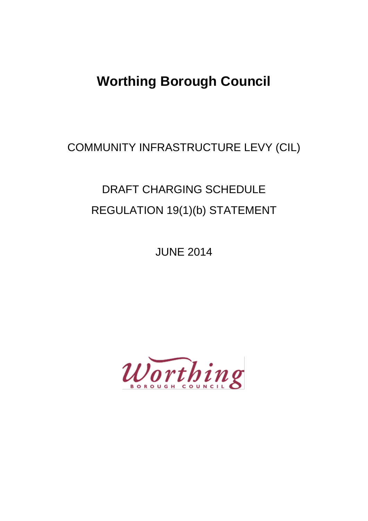# **Worthing Borough Council**

COMMUNITY INFRASTRUCTURE LEVY (CIL)

# DRAFT CHARGING SCHEDULE REGULATION 19(1)(b) STATEMENT

JUNE 2014

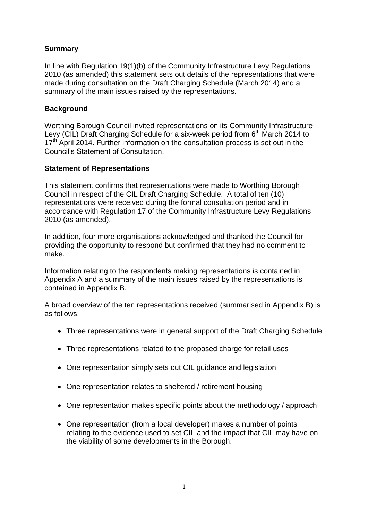## **Summary**

In line with Regulation 19(1)(b) of the Community Infrastructure Levy Regulations 2010 (as amended) this statement sets out details of the representations that were made during consultation on the Draft Charging Schedule (March 2014) and a summary of the main issues raised by the representations.

# **Background**

Worthing Borough Council invited representations on its Community Infrastructure Levy (CIL) Draft Charging Schedule for a six-week period from  $6<sup>th</sup>$  March 2014 to  $17<sup>th</sup>$  April 2014. Further information on the consultation process is set out in the Council's Statement of Consultation.

### **Statement of Representations**

This statement confirms that representations were made to Worthing Borough Council in respect of the CIL Draft Charging Schedule. A total of ten (10) representations were received during the formal consultation period and in accordance with Regulation 17 of the Community Infrastructure Levy Regulations 2010 (as amended).

In addition, four more organisations acknowledged and thanked the Council for providing the opportunity to respond but confirmed that they had no comment to make.

Information relating to the respondents making representations is contained in Appendix A and a summary of the main issues raised by the representations is contained in Appendix B.

A broad overview of the ten representations received (summarised in Appendix B) is as follows:

- Three representations were in general support of the Draft Charging Schedule
- Three representations related to the proposed charge for retail uses
- One representation simply sets out CIL guidance and legislation
- One representation relates to sheltered / retirement housing
- One representation makes specific points about the methodology / approach
- One representation (from a local developer) makes a number of points relating to the evidence used to set CIL and the impact that CIL may have on the viability of some developments in the Borough.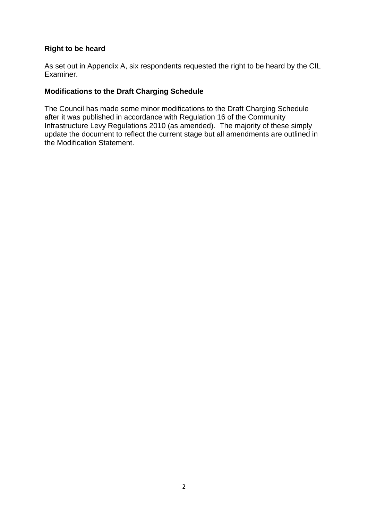#### **Right to be heard**

As set out in Appendix A, six respondents requested the right to be heard by the CIL Examiner.

#### **Modifications to the Draft Charging Schedule**

The Council has made some minor modifications to the Draft Charging Schedule after it was published in accordance with Regulation 16 of the Community Infrastructure Levy Regulations 2010 (as amended). The majority of these simply update the document to reflect the current stage but all amendments are outlined in the Modification Statement.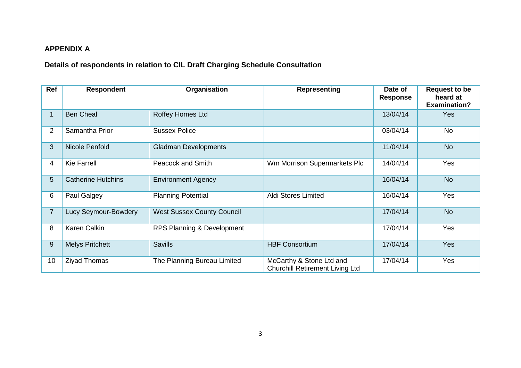# **APPENDIX A**

**Details of respondents in relation to CIL Draft Charging Schedule Consultation**

| Ref             | <b>Respondent</b>           | Organisation                      | <b>Representing</b>                                                | Date of<br><b>Response</b> | <b>Request to be</b><br>heard at<br><b>Examination?</b> |
|-----------------|-----------------------------|-----------------------------------|--------------------------------------------------------------------|----------------------------|---------------------------------------------------------|
| 1.              | <b>Ben Cheal</b>            | Roffey Homes Ltd                  |                                                                    | 13/04/14                   | <b>Yes</b>                                              |
| $\overline{2}$  | Samantha Prior              | <b>Sussex Police</b>              |                                                                    | 03/04/14                   | No                                                      |
| 3               | Nicole Penfold              | <b>Gladman Developments</b>       |                                                                    | 11/04/14                   | <b>No</b>                                               |
| 4               | <b>Kie Farrell</b>          | <b>Peacock and Smith</b>          | Wm Morrison Supermarkets Plc                                       | 14/04/14                   | Yes                                                     |
| 5               | <b>Catherine Hutchins</b>   | <b>Environment Agency</b>         |                                                                    | 16/04/14                   | <b>No</b>                                               |
| 6               | Paul Galgey                 | <b>Planning Potential</b>         | Aldi Stores Limited                                                | 16/04/14                   | Yes                                                     |
| $\overline{7}$  | <b>Lucy Seymour-Bowdery</b> | <b>West Sussex County Council</b> |                                                                    | 17/04/14                   | <b>No</b>                                               |
| 8               | <b>Karen Calkin</b>         | RPS Planning & Development        |                                                                    | 17/04/14                   | Yes                                                     |
| 9               | <b>Melys Pritchett</b>      | <b>Savills</b>                    | <b>HBF Consortium</b>                                              | 17/04/14                   | <b>Yes</b>                                              |
| 10 <sup>°</sup> | <b>Ziyad Thomas</b>         | The Planning Bureau Limited       | McCarthy & Stone Ltd and<br><b>Churchill Retirement Living Ltd</b> | 17/04/14                   | Yes                                                     |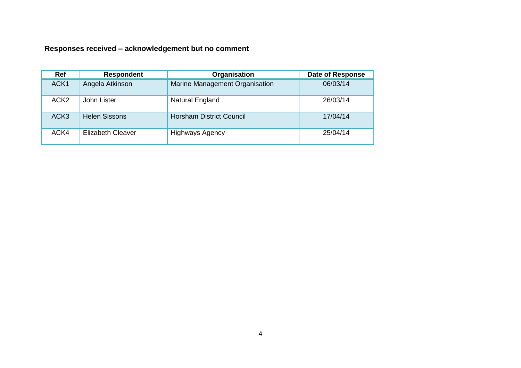**Responses received – acknowledgement but no comment**

| Ref              | <b>Respondent</b>        | Organisation                    | <b>Date of Response</b> |
|------------------|--------------------------|---------------------------------|-------------------------|
| ACK1             | Angela Atkinson          | Marine Management Organisation  | 06/03/14                |
| ACK <sub>2</sub> | John Lister              | Natural England                 | 26/03/14                |
| ACK <sub>3</sub> | <b>Helen Sissons</b>     | <b>Horsham District Council</b> | 17/04/14                |
| ACK4             | <b>Elizabeth Cleaver</b> | <b>Highways Agency</b>          | 25/04/14                |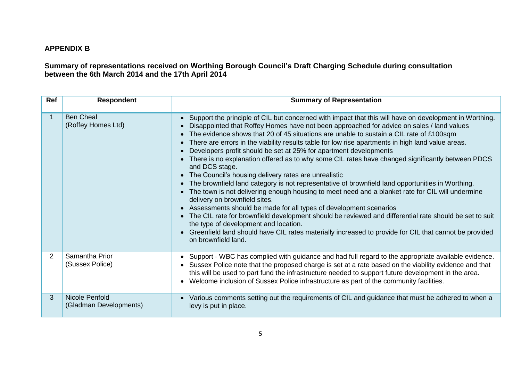# **APPENDIX B**

**Summary of representations received on Worthing Borough Council's Draft Charging Schedule during consultation between the 6th March 2014 and the 17th April 2014**

| Ref          | <b>Respondent</b>                        | <b>Summary of Representation</b>                                                                                                                                                                                                                                                                                                                                                                                                                                                                                                                                                                                                                                                                                                                                                                                                                                                                                                                                                                                                                                                                                                                                                                                                                                          |
|--------------|------------------------------------------|---------------------------------------------------------------------------------------------------------------------------------------------------------------------------------------------------------------------------------------------------------------------------------------------------------------------------------------------------------------------------------------------------------------------------------------------------------------------------------------------------------------------------------------------------------------------------------------------------------------------------------------------------------------------------------------------------------------------------------------------------------------------------------------------------------------------------------------------------------------------------------------------------------------------------------------------------------------------------------------------------------------------------------------------------------------------------------------------------------------------------------------------------------------------------------------------------------------------------------------------------------------------------|
| $\mathbf{1}$ | <b>Ben Cheal</b><br>(Roffey Homes Ltd)   | • Support the principle of CIL but concerned with impact that this will have on development in Worthing.<br>Disappointed that Roffey Homes have not been approached for advice on sales / land values<br>• The evidence shows that 20 of 45 situations are unable to sustain a CIL rate of £100sqm<br>There are errors in the viability results table for low rise apartments in high land value areas.<br>Developers profit should be set at 25% for apartment developments<br>• There is no explanation offered as to why some CIL rates have changed significantly between PDCS<br>and DCS stage.<br>• The Council's housing delivery rates are unrealistic<br>• The brownfield land category is not representative of brownfield land opportunities in Worthing.<br>• The town is not delivering enough housing to meet need and a blanket rate for CIL will undermine<br>delivery on brownfield sites.<br>• Assessments should be made for all types of development scenarios<br>• The CIL rate for brownfield development should be reviewed and differential rate should be set to suit<br>the type of development and location.<br>• Greenfield land should have CIL rates materially increased to provide for CIL that cannot be provided<br>on brownfield land. |
| 2            | Samantha Prior<br>(Sussex Police)        | • Support - WBC has complied with guidance and had full regard to the appropriate available evidence.<br>• Sussex Police note that the proposed charge is set at a rate based on the viability evidence and that<br>this will be used to part fund the infrastructure needed to support future development in the area.<br>• Welcome inclusion of Sussex Police infrastructure as part of the community facilities.                                                                                                                                                                                                                                                                                                                                                                                                                                                                                                                                                                                                                                                                                                                                                                                                                                                       |
| 3            | Nicole Penfold<br>(Gladman Developments) | Various comments setting out the requirements of CIL and guidance that must be adhered to when a<br>levy is put in place.                                                                                                                                                                                                                                                                                                                                                                                                                                                                                                                                                                                                                                                                                                                                                                                                                                                                                                                                                                                                                                                                                                                                                 |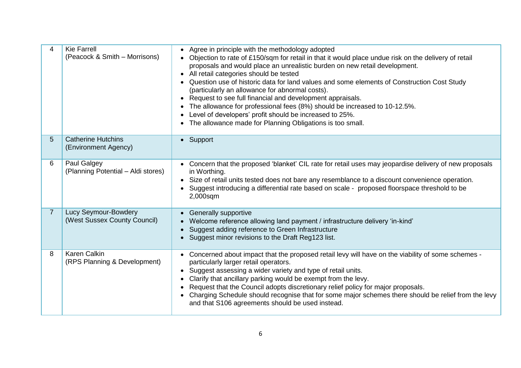| 4              | <b>Kie Farrell</b><br>(Peacock & Smith – Morrisons)  | Agree in principle with the methodology adopted<br>Objection to rate of £150/sqm for retail in that it would place undue risk on the delivery of retail<br>proposals and would place an unrealistic burden on new retail development.<br>All retail categories should be tested<br>Question use of historic data for land values and some elements of Construction Cost Study<br>(particularly an allowance for abnormal costs).<br>Request to see full financial and development appraisals.<br>The allowance for professional fees (8%) should be increased to 10-12.5%.<br>Level of developers' profit should be increased to 25%.<br>The allowance made for Planning Obligations is too small. |
|----------------|------------------------------------------------------|----------------------------------------------------------------------------------------------------------------------------------------------------------------------------------------------------------------------------------------------------------------------------------------------------------------------------------------------------------------------------------------------------------------------------------------------------------------------------------------------------------------------------------------------------------------------------------------------------------------------------------------------------------------------------------------------------|
| 5              | <b>Catherine Hutchins</b><br>(Environment Agency)    | • Support                                                                                                                                                                                                                                                                                                                                                                                                                                                                                                                                                                                                                                                                                          |
| 6              | Paul Galgey<br>(Planning Potential - Aldi stores)    | Concern that the proposed 'blanket' CIL rate for retail uses may jeopardise delivery of new proposals<br>in Worthing.<br>Size of retail units tested does not bare any resemblance to a discount convenience operation.<br>Suggest introducing a differential rate based on scale - proposed floorspace threshold to be<br>2,000sqm                                                                                                                                                                                                                                                                                                                                                                |
| $\overline{7}$ | Lucy Seymour-Bowdery<br>(West Sussex County Council) | Generally supportive<br>Welcome reference allowing land payment / infrastructure delivery 'in-kind'<br>Suggest adding reference to Green Infrastructure<br>Suggest minor revisions to the Draft Reg123 list.                                                                                                                                                                                                                                                                                                                                                                                                                                                                                       |
| 8              | <b>Karen Calkin</b><br>(RPS Planning & Development)  | Concerned about impact that the proposed retail levy will have on the viability of some schemes -<br>particularly larger retail operators.<br>Suggest assessing a wider variety and type of retail units.<br>$\bullet$<br>Clarify that ancillary parking would be exempt from the levy.<br>Request that the Council adopts discretionary relief policy for major proposals.<br>Charging Schedule should recognise that for some major schemes there should be relief from the levy<br>and that S106 agreements should be used instead.                                                                                                                                                             |